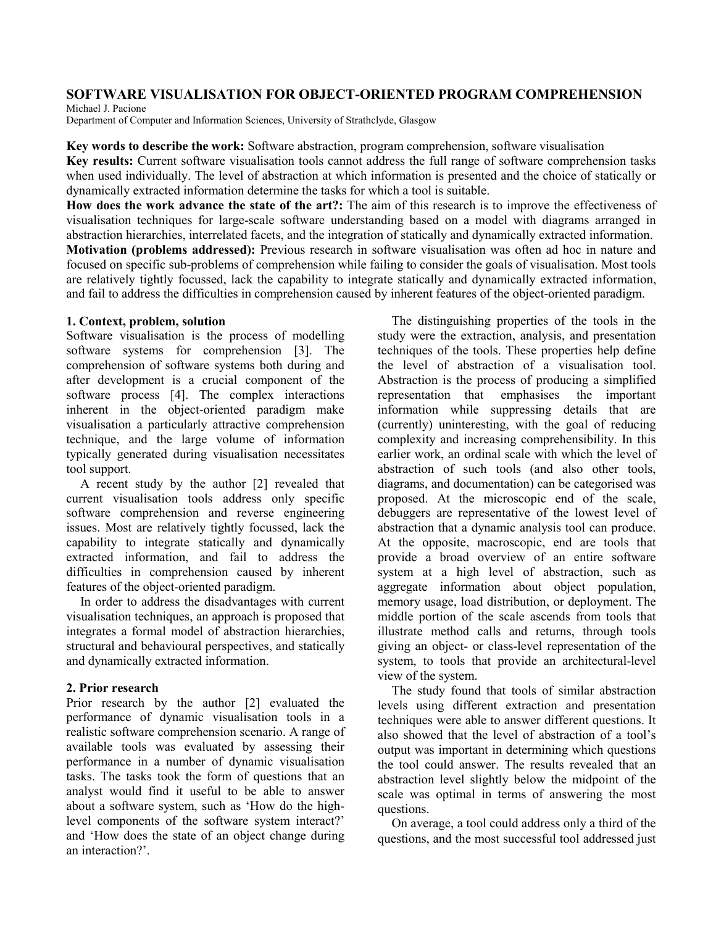## **SOFTWARE VISUALISATION FOR OBJECT-ORIENTED PROGRAM COMPREHENSION**

Michael J. Pacione

Department of Computer and Information Sciences, University of Strathclyde, Glasgow

**Key words to describe the work:** Software abstraction, program comprehension, software visualisation **Key results:** Current software visualisation tools cannot address the full range of software comprehension tasks when used individually. The level of abstraction at which information is presented and the choice of statically or dynamically extracted information determine the tasks for which a tool is suitable.

**How does the work advance the state of the art?:** The aim of this research is to improve the effectiveness of visualisation techniques for large-scale software understanding based on a model with diagrams arranged in abstraction hierarchies, interrelated facets, and the integration of statically and dynamically extracted information. **Motivation (problems addressed):** Previous research in software visualisation was often ad hoc in nature and focused on specific sub-problems of comprehension while failing to consider the goals of visualisation. Most tools are relatively tightly focussed, lack the capability to integrate statically and dynamically extracted information, and fail to address the difficulties in comprehension caused by inherent features of the object-oriented paradigm.

#### **1. Context, problem, solution**

Software visualisation is the process of modelling software systems for comprehension [3]. The comprehension of software systems both during and after development is a crucial component of the software process [4]. The complex interactions inherent in the object-oriented paradigm make visualisation a particularly attractive comprehension technique, and the large volume of information typically generated during visualisation necessitates tool support.

A recent study by the author [2] revealed that current visualisation tools address only specific software comprehension and reverse engineering issues. Most are relatively tightly focussed, lack the capability to integrate statically and dynamically extracted information, and fail to address the difficulties in comprehension caused by inherent features of the object-oriented paradigm.

In order to address the disadvantages with current visualisation techniques, an approach is proposed that integrates a formal model of abstraction hierarchies, structural and behavioural perspectives, and statically and dynamically extracted information.

## **2. Prior research**

Prior research by the author [2] evaluated the performance of dynamic visualisation tools in a realistic software comprehension scenario. A range of available tools was evaluated by assessing their performance in a number of dynamic visualisation tasks. The tasks took the form of questions that an analyst would find it useful to be able to answer about a software system, such as 'How do the highlevel components of the software system interact?' and 'How does the state of an object change during an interaction?'.

The distinguishing properties of the tools in the study were the extraction, analysis, and presentation techniques of the tools. These properties help define the level of abstraction of a visualisation tool. Abstraction is the process of producing a simplified representation that emphasises the important information while suppressing details that are (currently) uninteresting, with the goal of reducing complexity and increasing comprehensibility. In this earlier work, an ordinal scale with which the level of abstraction of such tools (and also other tools, diagrams, and documentation) can be categorised was proposed. At the microscopic end of the scale, debuggers are representative of the lowest level of abstraction that a dynamic analysis tool can produce. At the opposite, macroscopic, end are tools that provide a broad overview of an entire software system at a high level of abstraction, such as aggregate information about object population, memory usage, load distribution, or deployment. The middle portion of the scale ascends from tools that illustrate method calls and returns, through tools giving an object- or class-level representation of the system, to tools that provide an architectural-level view of the system.

The study found that tools of similar abstraction levels using different extraction and presentation techniques were able to answer different questions. It also showed that the level of abstraction of a tool's output was important in determining which questions the tool could answer. The results revealed that an abstraction level slightly below the midpoint of the scale was optimal in terms of answering the most questions.

On average, a tool could address only a third of the questions, and the most successful tool addressed just